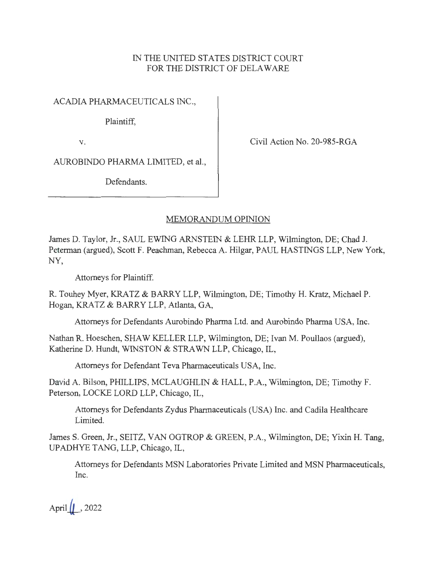## IN THE UNITED STATES DISTRICT COURT FOR THE DISTRICT OF DELAWARE

ACADIA PHARMACEUTICALS INC.,

Plaintiff,

V.

Civil Action No. 20-985-RGA

AUROBINDO PHARMA LIMITED, et al.,

Defendants.

## MEMORANDUM OPINION

James D. Taylor, Jr., SAUL EWING ARNSTEIN & LEHR LLP, Wilmington, DE; Chad J. Peterman (argued), Scott F. Peachman, Rebecca A. Hilgar, PAUL HASTINGS LLP, New York, NY,

Attorneys for Plaintiff.

R. Touhey Myer, KRATZ & BARRY LLP, Wilmington, DE; Timothy H. Kratz, Michael P. Hogan, KRATZ & BARRY LLP, Atlanta, GA,

Attorneys for Defendants Aurobindo Pharma Ltd. and Aurobindo Pharma USA, Inc.

Nathan R. Hoeschen, SHAW KELLER LLP, Wilmington, DE; Ivan M. Poullaos (argued), Katherine D. Hundt, WINSTON & STRAWN LLP, Chicago, IL,

Attorneys for Defendant Teva Pharmaceuticals USA, Inc.

David A. Bilson, PHILLIPS, MCLAUGHLIN & HALL, P.A., Wilmington, DE; Timothy F. Peterson, LOCKE LORD LLP, Chicago, IL,

Attorneys for Defendants Zydus Pharmaceuticals (USA) Inc. and Cadila Healthcare Limited.

James S. Green, Jr., SEITZ, VAN OGTROP & GREEN, P.A., Wilmington, DE; Yixin H. Tang, UPADHYE TANG, LLP, Chicago, IL,

Attorneys for Defendants MSN Laboratories Private Limited and MSN Pharmaceuticals, Inc.

April $\left| \right|$ , 2022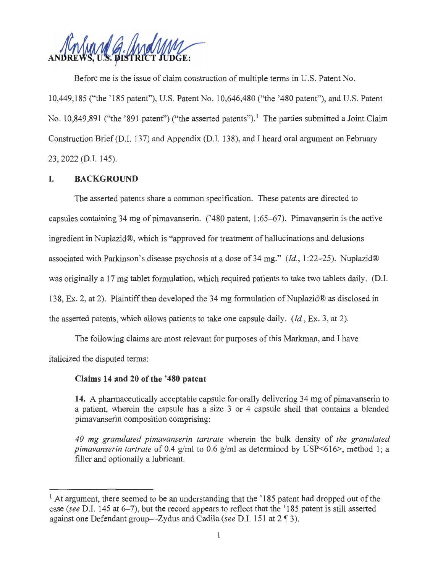Before me is the issue of claim construction of multiple terms in U.S. Patent No. 10,449,185 ("the ' 185 patent"), U.S. Patent No. 10,646,480 ("the '480 patent"), and U.S. Patent No. 10,849,891 ("the '891 patent") ("the asserted patents").<sup>1</sup> The parties submitted a Joint Claim Construction Brief (D.I. 137) and Appendix (D.I. 138), and I heard oral argument on February 23, 2022 (D.I. 145).

#### **I. BACKGROUND**

The asserted patents share a common specification. These patents are directed to capsules containing 34 mg of pimavanserin. (' 480 patent, 1 :65-67). Pimavanserin is the active ingredient in Nuplazid®, which is "approved for treatment of hallucinations and delusions associated with Parkinson's disease psychosis at a dose of 34 mg." *(Id. ,* 1 :22-25). Nuplazid® was originally a 17 mg tablet formulation, which required patients to take two tablets daily. (D.I. 138, Ex. 2, at 2). Plaintiff then developed the 34 mg formulation of Nuplazid® as disclosed in the asserted patents, which allows patients to take one capsule daily. *(Id. ,* Ex. 3, at 2).

The following claims are most relevant for purposes of this Markman, and I have italicized the disputed terms:

#### **Claims 14 and 20 of the '480 patent**

**14.** A pharmaceutically acceptable capsule for orally delivering 34 mg of pimavanserin to a patient, wherein the capsule has a size 3 or 4 capsule shell that contains a blended pimavanserin composition comprising:

*40 mg granulated pimavanserin tartrate* wherein the bulk density of *the granulated pimavanserin tartrate* of 0.4 g/ml to 0.6 g/ml as determined by USP<616>, method 1; a filler and optionally a lubricant.

<sup>&</sup>lt;sup>1</sup> At argument, there seemed to be an understanding that the  $185$  patent had dropped out of the case *(see* D.I. 145 at 6-7), but the record appears to reflect that the ' 185 patent is still asserted against one Defendant group-Zydus and Cadila *(see D.I. 151 at 2 ¶ 3).*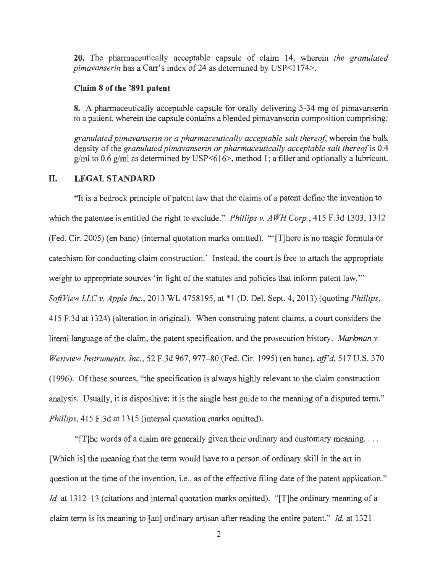**20.** The pharmaceutically acceptable capsule of claim 14, wherein *the granulated pimavanserin* has a Carr's index of 24 as determined by USP<1174>.

#### **Claim 8 of the '891 patent**

**8.** A pharmaceutically acceptable capsule for orally delivering 5-34 mg of pimavanserin to a patient, wherein the capsule contains a blended pimavanserin composition comprising:

granulated pimavanserin or a pharmaceutically acceptable salt thereof, wherein the bulk density of the *granulated pimavanserin or pharmaceutically acceptable salt thereof* is 0.4  $g/ml$  to 0.6  $g/ml$  as determined by USP<616>, method 1; a filler and optionally a lubricant.

#### **II. LEGAL STANDARD**

"It is a bedrock principle of patent law that the claims of a patent define the invention to which the patentee is entitled the right to exclude." *Phillips v. AWH Corp. ,* 415 F.3d 1303, 1312 (Fed. Cir. 2005) (en banc) (internal quotation marks omitted). "'[T]here is no magic formula or catechism for conducting claim construction.' Instead, the court is free to attach the appropriate weight to appropriate sources 'in light of the statutes and policies that inform patent law." *SoftView LLC v. Apple Inc. ,* 2013 WL 4758195, at \*l (D. Del. Sept. 4, 2013) (quoting *Phillips,*  415 F.3d at 1324) (alteration in original). When construing patent claims, a court considers the literal language of the claim, the patent specification, and the prosecution history. *Markman v. Westview Instruments, Inc.,* 52 F.3d 967, 977-80 (Fed. Cir. 1995) (en bane), *aff'd,* 517 U.S. 370 (1996). Of these sources, "the specification is always highly relevant to the claim construction analysis. Usually, it is dispositive; it is the single best guide to the meaning of a disputed term." *Phillips,* 415 F.3d at 1315 (internal quotation marks omitted).

"[T] he words of a claim are generally given their ordinary and customary meaning... [Which is] the meaning that the term would have to a person of ordinary skill in the art in question at the time of the invention, i.e., as of the effective filing date of the patent application." *Id.* at 1312–13 (citations and internal quotation marks omitted). "[T]he ordinary meaning of a claim term is its meaning to [an] ordinary artisan after reading the entire patent." *Id.* at 1321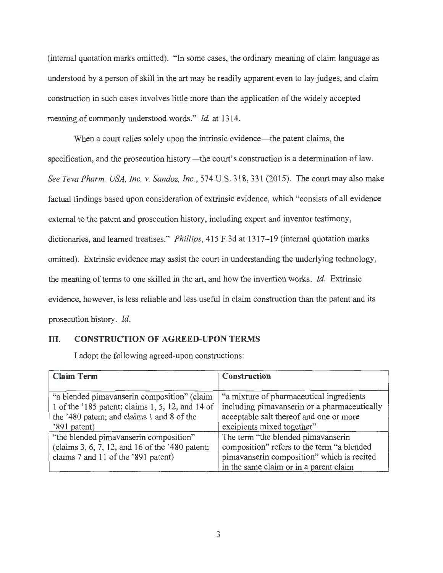(internal quotation marks omitted). "In some cases, the ordinary meaning of claim language as understood by a person of skill in the art may be readily apparent even to lay judges, and claim construction in such cases involves little more than the application of the widely accepted meaning of commonly understood words." *Id.* at 1314.

When a court relies solely upon the intrinsic evidence—the patent claims, the specification, and the prosecution history—the court's construction is a determination of law. *See Teva Phann. USA, Inc. v. Sandoz, Inc. ,* 574 U.S. 318, 331 (2015). The court may also make factual findings based upon consideration of extrinsic evidence, which "consists of all evidence external to the patent and prosecution history, including expert and inventor testimony, dictionaries, and learned treatises." *Phillips*, 415 F.3d at 1317-19 (internal quotation marks omitted). Extrinsic evidence may assist the court in understanding the underlying technology, the meaning of terms to one skilled in the art, and how the invention works. *Id.* Extrinsic evidence, however, is less reliable and less useful in claim construction than the patent and its prosecution history. *Id.* 

## III. **CONSTRUCTION OF AGREED-UPON TERMS**

I adopt the following agreed-upon constructions:

| <b>Claim Term</b>                                                                                                                                             | <b>Construction</b>                                                                                                                                                      |
|---------------------------------------------------------------------------------------------------------------------------------------------------------------|--------------------------------------------------------------------------------------------------------------------------------------------------------------------------|
| "a blended pimavanserin composition" (claim<br>1 of the '185 patent; claims 1, 5, 12, and 14 of<br>the '480 patent; and claims 1 and 8 of the<br>'891 patent) | "a mixture of pharmaceutical ingredients<br>including pimavanserin or a pharmaceutically<br>acceptable salt thereof and one or more<br>excipients mixed together"        |
| "the blended pimavanserin composition"<br>(claims 3, 6, 7, 12, and 16 of the '480 patent;<br>claims 7 and 11 of the '891 patent)                              | The term "the blended pimavanserin<br>composition" refers to the term "a blended<br>pimavanserin composition" which is recited<br>in the same claim or in a parent claim |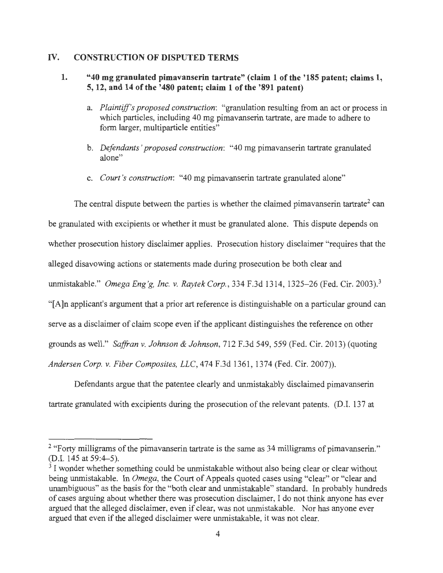## IV. **CONSTRUCTION OF DISPUTED TERMS**

### **1. "40 mg granulated pimavanserin tartrate" (claim 1 of the '185 patent; claims 1, 5, 12, and 14 of the '480 patent; claim 1 of the '891 patent)**

- a. *Plaintiff's proposed construction:* "granulation resulting from an act or process in which particles, including 40 mg pimavanserin tartrate, are made to adhere to form larger, multiparticle entities"
- b. *Defendants ' proposed construction:* "40 mg pimavanserin tartrate granulated alone"
- c. *Court 's construction:* "40 mg pimavanserin tartrate granulated alone"

The central dispute between the parties is whether the claimed pimavanserin tartrate<sup>2</sup> can

be granulated with excipients or whether it must be granulated alone. This dispute depends on

whether prosecution history disclaimer applies. Prosecution history disclaimer "requires that the

alleged disavowing actions or statements made during prosecution be both clear and

unmistakable." *Omega Eng 'g, Inc. v. Raytek Corp.,* 334 F.3d 1314, 1325-26 (Fed. Cir. 2003).<sup>3</sup>

"[A]n applicant's argument that a prior art reference is distinguishable on a particular ground can

serve as a disclaimer of claim scope even if the applicant distinguishes the reference on other

grounds as well." *Saffran v. Johnson & Johnson,* 712 F.3d 549, 559 (Fed. Cir. 2013) (quoting

*Andersen Corp. v. Fiber Composites, LLC,* 474 F.3d 1361 , 1374 (Fed. Cir. 2007)).

Defendants argue that the patentee clearly and unmistakably disclaimed pimavanserin tartrate granulated with excipients during the prosecution of the relevant patents. (D.I. 137 at

<sup>&</sup>lt;sup>2</sup> "Forty milligrams of the pimavanserin tartrate is the same as  $34$  milligrams of pimavanserin." (D.I. 145 at 59:4-5).

 $3$  I wonder whether something could be unmistakable without also being clear or clear without being unmistakable. In *Omega,* the Court of Appeals quoted cases using "clear" or "clear and unambiguous" as the basis for the "both clear and unmistakable" standard. In probably hundreds of cases arguing about whether there was prosecution disclaimer, I do not think anyone has ever argued that the alleged disclaimer, even if clear, was not unmistakable. Nor has anyone ever argued that even if the alleged disclaimer were unmistakable, it was not clear.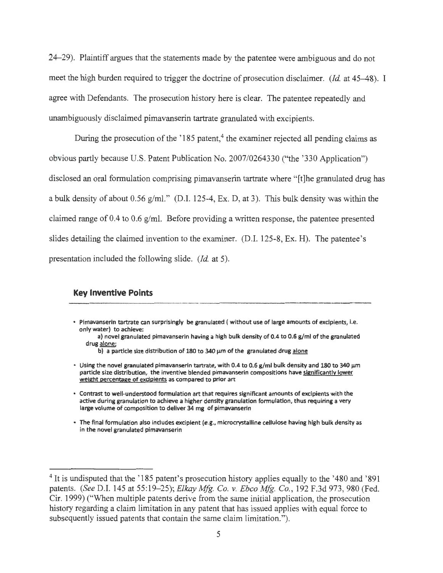24-29). Plaintiff argues that the statements made by the patentee were ambiguous and do not meet the high burden required to trigger the doctrine of prosecution disclaimer. *(Id.* at 45–48). I agree with Defendants. The prosecution history here is clear. The patentee repeatedly and unambiguously disclaimed pimavanserin tartrate granulated with excipients.

During the prosecution of the '185 patent,<sup>4</sup> the examiner rejected all pending claims as obvious partly because U.S. Patent Publication No. 2007/0264330 ("the '330 Application") disclosed an oral formulation comprising pimavanserin tartrate where "[t]he granulated drug has a bulk density of about 0.56 g/ml." (D.I. 125-4, Ex. D, at 3). This bulk density was within the claimed range of 0.4 to 0.6 g/ml. Before providing a written response, the patentee presented slides detailing the claimed invention to the examiner. (D.I. 125-8, Ex. H). The patentee's presentation included the following slide. *(Id.* at 5).

#### **Key Inventive Points**

- Pimavanserin tartrate can surprisingly be granulated ( without use of large amounts of excipients, i.e. only water) to achieve:
	- a) novel granulated pimavanserin having a high bulk density of 0.4 to 0.6 g/ml of the granulated drug alone;
		- b) a particle size distribution of 180 to 340 µm of the granulated drug alone
- Using the novel granulated pimavanserin tartrate, with 0.4 to 0.6 g/ml bulk density and 180 to 340  $\mu$ m particle size distribution, the inventive blended pimavanserin compositions have significantly lower weight percentage of exdpients as compared to prior art
- Contrast to well-understood formulation art that requires significant amounts of excipients with the active during granulation to achieve a higher density granulation formulation, thus requiring a very large volume of composition to deliver 34 mg of pimavanserin
- The final formulation also includes exciplent **(e.g.,** mlcrocrystalline cellulose having high bulk density as **in the novel granulated pimavanserin**

<sup>&</sup>lt;sup>4</sup> It is undisputed that the '185 patent's prosecution history applies equally to the '480 and '891" patents. *(See* D.I. 145 at 55:19-25); *Elkay Mfg. Co. v. Ebco Mfg. Co.,* 192 F.3d 973, 980 (Fed. Cir. 1999) ("When multiple patents derive from the same initial application, the prosecution history regarding a claim limitation in any patent that has issued applies with equal force to subsequently issued patents that contain the same claim limitation.").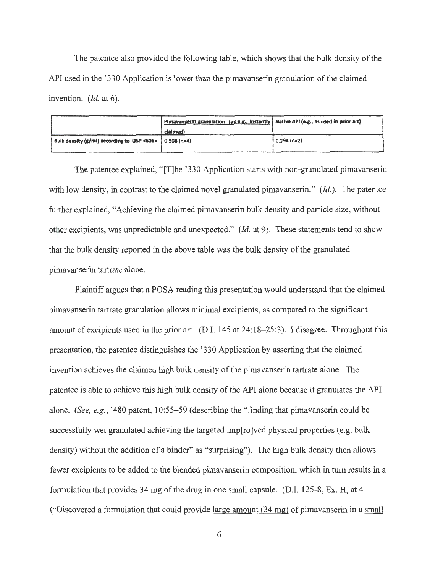The patentee also provided the following table, which shows that the bulk density of the API used in the '330 Application is lower than the pimavanserin granulation of the claimed invention. *(Id.* at 6).

|                                                                  | Pimavanserin granulation (as e.g., instantly   Native API (e.g., as used in prior art) |               |
|------------------------------------------------------------------|----------------------------------------------------------------------------------------|---------------|
|                                                                  | claimed)                                                                               |               |
| Bulk density $(g/ml)$ according to USP <616> $\vert$ 0.508 (n=4) |                                                                                        | $0.294$ (n=2) |

The patentee explained, "[T]he '330 Application starts with non-granulated pimavanserin with low density, in contrast to the claimed novel granulated pimavanserin." *(Id. ).* The patentee further explained, "Achieving the claimed pimavanserin bulk density and particle size, without other excipients, was unpredictable and unexpected." *(Id.* at 9). These statements tend to show that the bulk density reported in the above table was the bulk density of the granulated pimavanserin tartrate alone.

Plaintiff argues that a POSA reading this presentation would understand that the claimed pimavanserin tartrate granulation allows minimal excipients, as compared to the significant amount of excipients used in the prior art. (D.I. 145 at 24:18–25:3). I disagree. Throughout this presentation, the patentee distinguishes the '330 Application by asserting that the claimed invention achieves the claimed high bulk density of the pimavanserin tartrate alone. The patentee is able to achieve this high bulk density of the API alone because it granulates the API alone. *(See, e.g. ,* '480 patent, 10:55-59 (describing the "finding that pimavanserin could be successfully wet granulated achieving the targeted imp[ro]ved physical properties (e.g. bulk density) without the addition of a binder" as "surprising"). The high bulk density then allows fewer excipients to be added to the blended pimavanserin composition, which in turn results in a formulation that provides 34 mg of the drug in one small capsule. (D.I. 125-8, Ex. H, at 4 ("Discovered a formulation that could provide large amount  $(34 \text{ mg})$  of pimavanserin in a small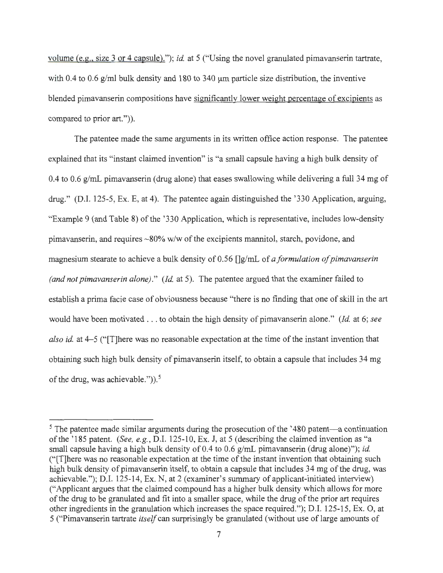volume *(e.g.,* size 3 or 4 capsule)."); *id.* at 5 ("Using the novel granulated pimavanserin tartrate, with 0.4 to 0.6  $g/ml$  bulk density and 180 to 340  $µm$  particle size distribution, the inventive blended pimavanserin compositions have significantly lower weight percentage of excipients as compared to prior art.")).

The patentee made the same arguments in its written office action response. The patentee explained that its "instant claimed invention" is "a small capsule having a high bulk density of 0.4 to 0.6 g/mL pimavanserin (drug alone) that eases swallowing while delivering a full 34 mg of drug." (D.I. 125-5, Ex. E, at 4). The patentee again distinguished the '330 Application, arguing, "Example 9 (and Table 8) of the ' 330 Application, which is representative, includes low-density pimavanserin, and requires ~80% w/w of the excipients mannitol, starch, povidone, and magnesium stearate to achieve a bulk density of 0.56 []g/mL of *a formulation of pimavanserin (and not pimavanserin alone)." (Id.* at 5). The patentee argued that the examiner failed to establish a prima facie case of obviousness because "there is no finding that one of skill in the art would have been motivated .. . to obtain the high density of pimavanserin alone." *(Id.* at 6; *see also id.* at 4–5 ("There was no reasonable expectation at the time of the instant invention that obtaining such high bulk density of pimavanserin itself, to obtain a capsule that includes 34 mg of the drug, was achievable.")). 5

 $5$  The patentee made similar arguments during the prosecution of the  $1480$  patent—a continuation of the ' 185 patent. *(See, e.g. ,* D.I. 125-10, Ex. J, at 5 (describing the claimed invention as "a small capsule having a high bulk density of 0.4 to 0.6 g/mL pimavanserin (drug alone)"); *id.*  ("[T]here was no reasonable expectation at the time of the instant invention that obtaining such high bulk density of pimavanserin itself, to obtain a capsule that includes 34 mg of the drug, was achievable."); D.I. 125-14, Ex. N, at 2 (examiner's summary of applicant-initiated interview) ("Applicant argues that the claimed compound has a higher bulk density which allows for more of the drug to be granulated and fit into a smaller space, while the drug of the prior art requires other ingredients in the granulation which increases the space required."); D.I. 125-15, Ex. O, at 5 ("Pimavanserin tartrate *itself* can surprisingly be granulated (without use of large amounts of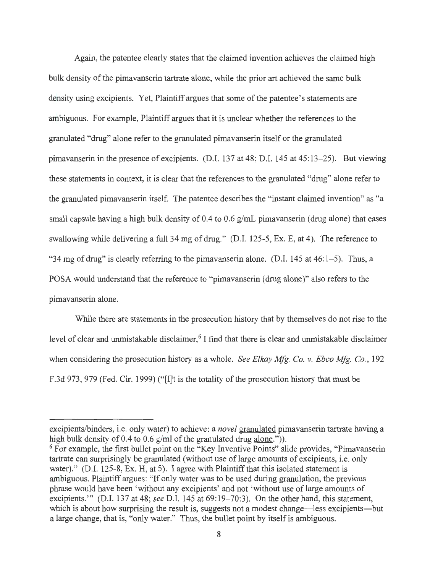Again, the patentee clearly states that the claimed invention achieves the claimed high bulk density of the pimavanserin tartrate alone, while the prior art achieved the same bulk density using excipients. Yet, Plaintiff argues that some of the patentee's statements are ambiguous. For example, Plaintiff argues that it is unclear whether the references to the granulated "drug" alone refer to the granulated pimavanserin itself or the granulated pimavanserin in the presence of excipients. (D.I. 137 at 48; D.I. 145 at 45:13-25). But viewing these statements in context, it is clear that the references to the granulated "drug" alone refer to the granulated pimavanserin itself. The patentee describes the "instant claimed invention" as "a small capsule having a high bulk density of 0.4 to 0.6  $g/mL$  pimavanserin (drug alone) that eases swallowing while delivering a full 34 mg of drug." (D.I. 125-5, Ex. E, at 4). The reference to "34 mg of drug" is clearly referring to the pimavanserin alone. (D.I.  $145$  at  $46:1-5$ ). Thus, a POSA would understand that the reference to "pimavanserin ( drug alone)" also refers to the pimavanserin alone.

While there are statements in the prosecution history that by themselves do not rise to the level of clear and unmistakable disclaimer, <sup>6</sup> I find that there is clear and unmistakable disclaimer when considering the prosecution history as a whole. *See Elkay Mfg. Co. v. Ebco Mfg. Co.,* 192 F.3d 973, 979 (Fed. Cir. 1999) ("[I]t is the totality of the prosecution history that must be

excipients/binders, i.e. only water) to achieve: a *novel* granulated pimavanserin tartrate having a high bulk density of 0.4 to 0.6 g/ml of the granulated drug alone.")).

 $6$  For example, the first bullet point on the "Key Inventive Points" slide provides, "Pimavanserin" tartrate can surprisingly be granulated (without use of large amounts of excipients, i.e. only water)." (D.I. 125-8, Ex. H, at 5). I agree with Plaintiff that this isolated statement is ambiguous. Plaintiff argues: "If only water was to be used during granulation, the previous phrase would have been 'without any excipients' and not 'without use of large amounts of excipients."" (D.I. 137 at 48; *see* D.I. 145 at 69:19–70:3). On the other hand, this statement, which is about how surprising the result is, suggests not a modest change—less excipients—but a large change, that is, "only water." Thus, the bullet point by itself is ambiguous.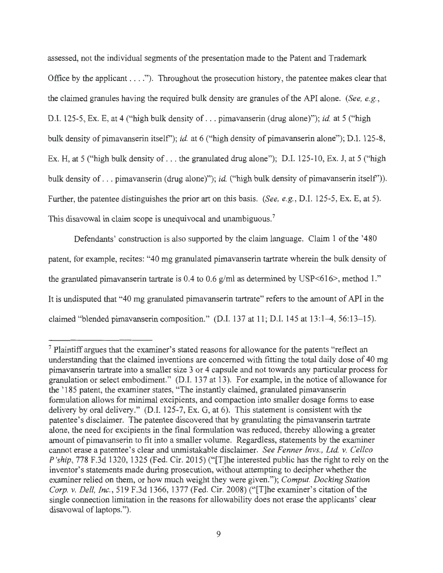assessed, not the individual segments of the presentation made to the Patent and Trademark Office by the applicant  $\dots$ ."). Throughout the prosecution history, the patentee makes clear that the claimed granules having the required bulk density are granules of the API alone. *(See, e.g. ,*  D.I. 125-5, Ex. E, at 4 ("high bulk density of . .. pimavanserin (drug alone)"); *id.* at 5 ("high bulk density of pimavanserin itself'); *id.* at 6 ("high density of pimavanserin alone"); D.I. 125-8, Ex. H, at 5 ("high bulk density of . . . the granulated drug alone"); D.I. 125-10, Ex. J, at 5 ("high bulk density of ... pimavanserin (drug alone)"); *id.* ("high bulk density of pimavanserin itself')). Further, the patentee distinguishes the prior art on this basis. *(See, e.g. ,* D.I. 125-5, Ex. E, at 5). This disavowal in claim scope is unequivocal and unambiguous.<sup>7</sup>

Defendants' construction is also supported by the claim language. Claim 1 of the '480 patent, for example, recites: "40 mg granulated pimavanserin tartrate wherein the bulk density of the granulated pimavanserin tartrate is 0.4 to 0.6  $g/ml$  as determined by USP<616>, method 1." It is undisputed that "40 mg granulated pimavanserin tartrate" refers to the amount of API in the claimed "blended pimavanserin composition." (D.I. 137 at 11; D.I. 145 at 13:1-4, 56:13-15).

 $<sup>7</sup>$  Plaintiff argues that the examiner's stated reasons for allowance for the patents "reflect an</sup> understanding that the claimed inventions are concerned with fitting the total daily dose of 40 mg pimavanserin tartrate into a smaller size 3 or 4 capsule and not towards any particular process for granulation or select embodiment." (D.I. 137 at 13). For example, in the notice of allowance for the '185 patent, the examiner states, "The instantly claimed, granulated pimavanserin formulation allows for minimal excipients, and compaction into smaller dosage forms to ease delivery by oral delivery." (D.I. 125-7, Ex. G, at 6). This statement is consistent with the patentee's disclaimer. The patentee discovered that by granulating the pimavanserin tartrate alone, the need for excipients in the final formulation was reduced, thereby allowing a greater amount of pimavanserin to fit into a smaller volume. Regardless, statements by the examiner cannot erase a patentee's clear and unmistakable disclaimer. *See Fenner lnvs., Ltd.* v. *Cellco P 'ship,* 778 F.3d 1320, 1325 (Fed. Cir. 2015) ("[T]he interested public has the right to rely on the inventor's statements made during prosecution, without attempting to decipher whether the examiner relied on them, or how much weight they were given."); *Comput. Docking Station Corp.* v. *Dell, Inc.,* 519 F.3d 1366, 1377 (Fed. Cir. 2008) ("[T]he examiner's citation of the single connection limitation in the reasons for allowability does not erase the applicants' clear disavowal of laptops.").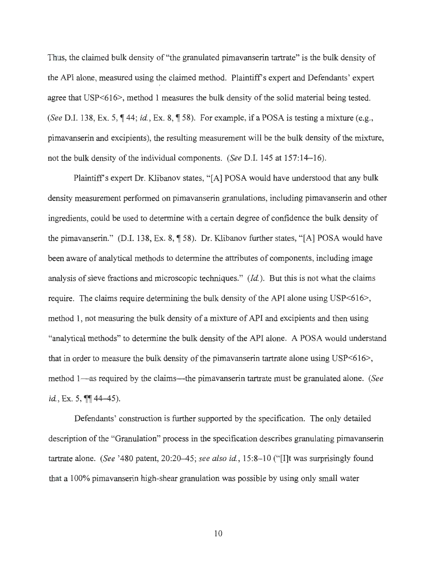Thus, the claimed bulk density of "the granulated pimavanserin tartrate" is the bulk density of the API alone, measured using the claimed method. Plaintiff's expert and Defendants' expert *I*  agree that USP<616>, method I measures the bulk density of the solid material being tested. *(See D.I. 138, Ex. 5, 144; <i>id., Ex. 8, 158).* For example, if a POSA is testing a mixture (e.g., pimavanserin and excipients ), the resulting measurement will be the bulk density of the mixture, not the bulk density of the individual components. *(See* D.I. 145 at 157:14-16).

Plaintiff's expert Dr. Klibanov states, **"[A]** POSA would have understood that any bulk density measurement performed on pimavanserin granulations, including pimavanserin and other ingredients, could be used to determine with a certain degree of confidence the bulk density of the pimavanserin." (D.I. 138, Ex. 8,  $\parallel$  58). Dr. Klibanov further states, "[A] POSA would have been aware of analytical methods to determine the attributes of components, including image analysis of sieve fractions and microscopic techniques." *(Id.).* But this is not what the claims require. The claims require determining the bulk density of the API alone using USP<616>, method 1, not measuring the bulk density of a mixture of API and excipients and then using "analytical methods" to determine the bulk density of the API alone. A POSA would understand that in order to measure the bulk density of the pimavanserin tartrate alone using USP<616>, method 1—as required by the claims—the pimavanserin tartrate must be granulated alone. *(See id.*, Ex. 5,  $\P\P$  44-45).

Defendants' construction is further supported by the specification. The only detailed description of the "Granulation" process in the specification describes granulating pimavanserin tartrate alone. *(See '480 patent, 20:20-45; see also id., 15:8-10 ("[I]t was surprisingly found* that a I 00% pimavanserin high-shear granulation was possible by using only small water

10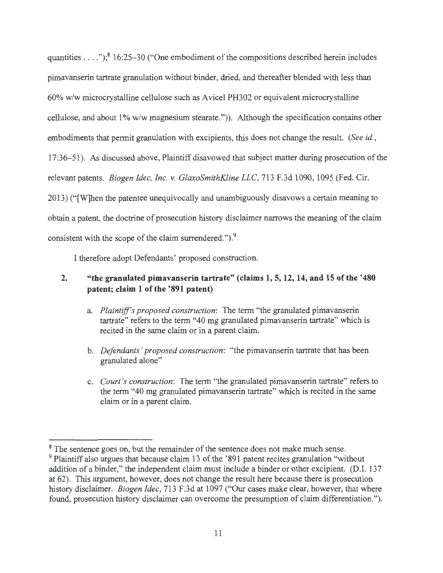quantities . . . .");<sup>8</sup> 16:25-30 ("One embodiment of the compositions described herein includes pimavanserin tartrate granulation without binder, dried, and thereafter blended with less than 60% w/w microcrystalline cellulose such as A vicel PH302 or equivalent microcrystalline cellulose, and about 1% w/w magnesium stearate.")). Although the specification contains other embodiments that permit granulation with excipients, this does not change the result. *(See id. ,*  17:36-51). As discussed above, Plaintiff disavowed that subject matter during prosecution of the relevant patents. *Biogen Idec, Inc. v. GlaxoSmithKline LLC,* 713 F.3d 1090, 1095 (Fed. Cir. 2013) ("[W]hen the patentee unequivocally and unambiguously disavows a certain meaning to obtain a patent, the doctrine of prosecution history disclaimer narrows the meaning of the claim consistent with the scope of the claim surrendered." $)$ .

I therefore adopt Defendants' proposed construction.

# **2. "the granulated pimavanserin tartrate" (claims 1, 5, 12, 14, and 15 of the '480 patent; claim 1 of the '891 patent)**

- a. *Plaintiff's proposed construction:* The term "the granulated pimavanserin tartrate" refers to the term "40 mg granulated pimavanserin tartrate" which is recited in the same claim or in a parent claim.
- b. *Defendants' proposed construction:* "the pimavanserin tartrate that has been granulated alone"
- c. *Court 's construction:* The term "the granulated pimavanserin tartrate" refers to the term "40 mg granulated pimavanserin tartrate" which is recited in the same claim or in a parent claim.

<sup>&</sup>lt;sup>8</sup> The sentence goes on, but the remainder of the sentence does not make much sense.

 $9$  Plaintiff also argues that because claim 13 of the '891 patent recites granulation "without" addition of a binder," the independent claim must include a binder or other excipient. (D.I. 137 at 62). This argument, however, does not change the result here because there is prosecution history disclaimer. *Biogen Idec,* 713 F.3d at 1097 ("Our cases make clear, however, that where found, prosecution history disclaimer can overcome the presumption of claim differentiation.").